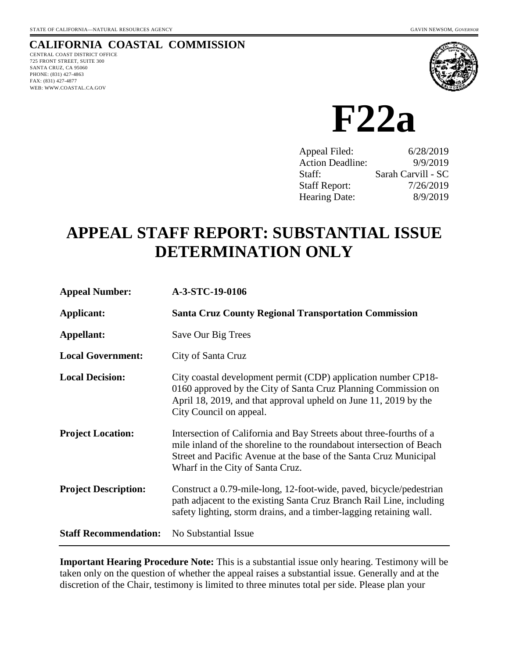## **CALIFORNIA COASTAL COMMISSION**

CENTRAL COAST DISTRICT OFFICE 725 FRONT STREET, SUITE 300 SANTA CRUZ, CA 95060 PHONE: (831) 427-4863 FAX: (831) 427-4877 WEB: WWW.COASTAL.CA.GOV



**F22a** 

| Appeal Filed:           | 6/28/2019          |
|-------------------------|--------------------|
| <b>Action Deadline:</b> | 9/9/2019           |
| Staff:                  | Sarah Carvill - SC |
| <b>Staff Report:</b>    | 7/26/2019          |
| <b>Hearing Date:</b>    | 8/9/2019           |

# **APPEAL STAFF REPORT: SUBSTANTIAL ISSUE DETERMINATION ONLY**

| <b>Appeal Number:</b>        | A-3-STC-19-0106                                                                                                                                                                                                                                      |
|------------------------------|------------------------------------------------------------------------------------------------------------------------------------------------------------------------------------------------------------------------------------------------------|
| Applicant:                   | <b>Santa Cruz County Regional Transportation Commission</b>                                                                                                                                                                                          |
| Appellant:                   | Save Our Big Trees                                                                                                                                                                                                                                   |
| <b>Local Government:</b>     | City of Santa Cruz                                                                                                                                                                                                                                   |
| <b>Local Decision:</b>       | City coastal development permit (CDP) application number CP18-<br>0160 approved by the City of Santa Cruz Planning Commission on<br>April 18, 2019, and that approval upheld on June 11, 2019 by the<br>City Council on appeal.                      |
| <b>Project Location:</b>     | Intersection of California and Bay Streets about three-fourths of a<br>mile inland of the shoreline to the roundabout intersection of Beach<br>Street and Pacific Avenue at the base of the Santa Cruz Municipal<br>Wharf in the City of Santa Cruz. |
| <b>Project Description:</b>  | Construct a 0.79-mile-long, 12-foot-wide, paved, bicycle/pedestrian<br>path adjacent to the existing Santa Cruz Branch Rail Line, including<br>safety lighting, storm drains, and a timber-lagging retaining wall.                                   |
| <b>Staff Recommendation:</b> | No Substantial Issue                                                                                                                                                                                                                                 |

**Important Hearing Procedure Note:** This is a substantial issue only hearing. Testimony will be taken only on the question of whether the appeal raises a substantial issue. Generally and at the discretion of the Chair, testimony is limited to three minutes total per side. Please plan your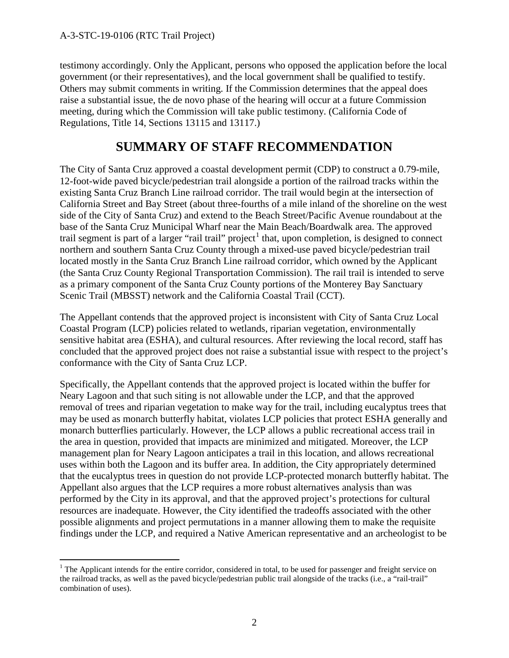testimony accordingly. Only the Applicant, persons who opposed the application before the local government (or their representatives), and the local government shall be qualified to testify. Others may submit comments in writing. If the Commission determines that the appeal does raise a substantial issue, the de novo phase of the hearing will occur at a future Commission meeting, during which the Commission will take public testimony. (California Code of Regulations, Title 14, Sections 13115 and 13117.)

## **SUMMARY OF STAFF RECOMMENDATION**

The City of Santa Cruz approved a coastal development permit (CDP) to construct a 0.79-mile, 12-foot-wide paved bicycle/pedestrian trail alongside a portion of the railroad tracks within the existing Santa Cruz Branch Line railroad corridor. The trail would begin at the intersection of California Street and Bay Street (about three-fourths of a mile inland of the shoreline on the west side of the City of Santa Cruz) and extend to the Beach Street/Pacific Avenue roundabout at the base of the Santa Cruz Municipal Wharf near the Main Beach/Boardwalk area. The approved trail segment is part of a larger "rail trail" project<sup>[1](#page-1-0)</sup> that, upon completion, is designed to connect northern and southern Santa Cruz County through a mixed-use paved bicycle/pedestrian trail located mostly in the Santa Cruz Branch Line railroad corridor, which owned by the Applicant (the Santa Cruz County Regional Transportation Commission). The rail trail is intended to serve as a primary component of the Santa Cruz County portions of the Monterey Bay Sanctuary Scenic Trail (MBSST) network and the California Coastal Trail (CCT).

The Appellant contends that the approved project is inconsistent with City of Santa Cruz Local Coastal Program (LCP) policies related to wetlands, riparian vegetation, environmentally sensitive habitat area (ESHA), and cultural resources. After reviewing the local record, staff has concluded that the approved project does not raise a substantial issue with respect to the project's conformance with the City of Santa Cruz LCP.

Specifically, the Appellant contends that the approved project is located within the buffer for Neary Lagoon and that such siting is not allowable under the LCP, and that the approved removal of trees and riparian vegetation to make way for the trail, including eucalyptus trees that may be used as monarch butterfly habitat, violates LCP policies that protect ESHA generally and monarch butterflies particularly. However, the LCP allows a public recreational access trail in the area in question, provided that impacts are minimized and mitigated. Moreover, the LCP management plan for Neary Lagoon anticipates a trail in this location, and allows recreational uses within both the Lagoon and its buffer area. In addition, the City appropriately determined that the eucalyptus trees in question do not provide LCP-protected monarch butterfly habitat. The Appellant also argues that the LCP requires a more robust alternatives analysis than was performed by the City in its approval, and that the approved project's protections for cultural resources are inadequate. However, the City identified the tradeoffs associated with the other possible alignments and project permutations in a manner allowing them to make the requisite findings under the LCP, and required a Native American representative and an archeologist to be

<span id="page-1-0"></span> $\overline{a}$ <sup>1</sup> The Applicant intends for the entire corridor, considered in total, to be used for passenger and freight service on the railroad tracks, as well as the paved bicycle/pedestrian public trail alongside of the tracks (i.e., a "rail-trail" combination of uses).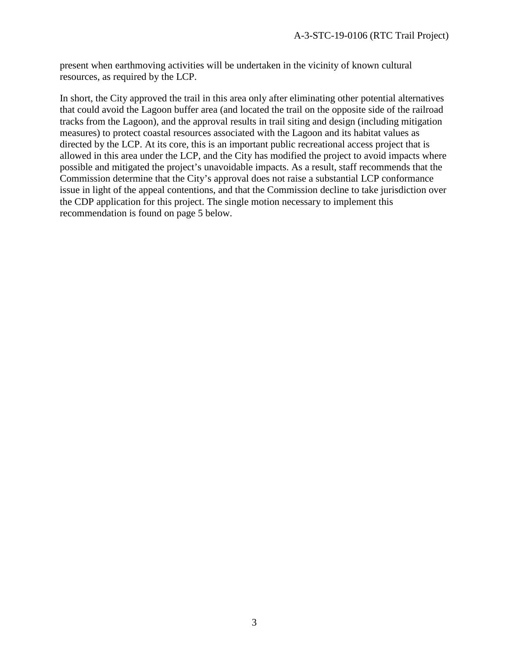present when earthmoving activities will be undertaken in the vicinity of known cultural resources, as required by the LCP.

In short, the City approved the trail in this area only after eliminating other potential alternatives that could avoid the Lagoon buffer area (and located the trail on the opposite side of the railroad tracks from the Lagoon), and the approval results in trail siting and design (including mitigation measures) to protect coastal resources associated with the Lagoon and its habitat values as directed by the LCP. At its core, this is an important public recreational access project that is allowed in this area under the LCP, and the City has modified the project to avoid impacts where possible and mitigated the project's unavoidable impacts. As a result, staff recommends that the Commission determine that the City's approval does not raise a substantial LCP conformance issue in light of the appeal contentions, and that the Commission decline to take jurisdiction over the CDP application for this project. The single motion necessary to implement this recommendation is found on page 5 below.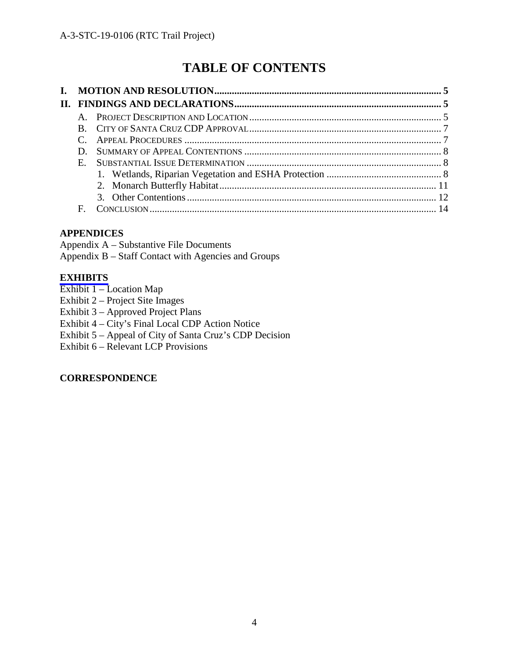## **TABLE OF CONTENTS**

| L. |             |  |
|----|-------------|--|
|    |             |  |
|    |             |  |
|    |             |  |
|    |             |  |
|    |             |  |
|    | $E_{\perp}$ |  |
|    |             |  |
|    |             |  |
|    |             |  |
|    | F           |  |

#### **APPENDICES**

Appendix A – Substantive File Documents Appendix B – Staff Contact with Agencies and Groups

#### **[EXHIBITS](https://documents.coastal.ca.gov/reports/2019/8/f22a/f22a-8-2019-exhibits.pdf)**

- Exhibit 1 Location Map
- Exhibit 2 Project Site Images
- Exhibit 3 Approved Project Plans
- Exhibit 4 City's Final Local CDP Action Notice
- Exhibit 5 Appeal of City of Santa Cruz's CDP Decision
- Exhibit 6 Relevant LCP Provisions

#### **CORRESPONDENCE**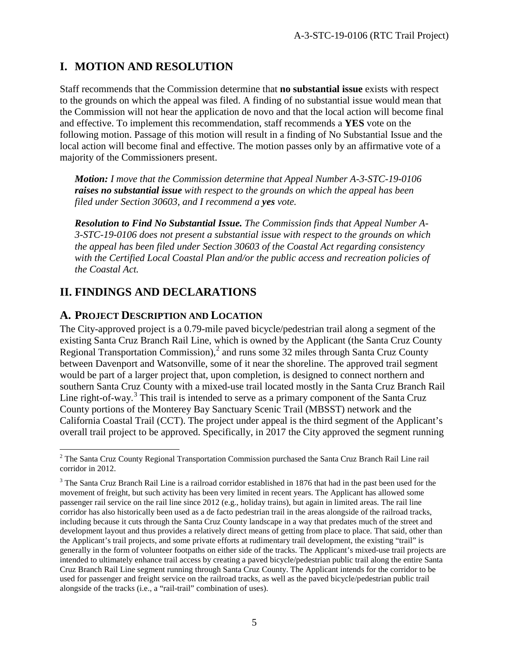## **I. MOTION AND RESOLUTION**

Staff recommends that the Commission determine that **no substantial issue** exists with respect to the grounds on which the appeal was filed. A finding of no substantial issue would mean that the Commission will not hear the application de novo and that the local action will become final and effective. To implement this recommendation, staff recommends a **YES** vote on the following motion. Passage of this motion will result in a finding of No Substantial Issue and the local action will become final and effective. The motion passes only by an affirmative vote of a majority of the Commissioners present.

*Motion: I move that the Commission determine that Appeal Number A-3-STC-19-0106 raises no substantial issue with respect to the grounds on which the appeal has been filed under Section 30603, and I recommend a yes vote.*

*Resolution to Find No Substantial Issue. The Commission finds that Appeal Number A-3-STC-19-0106 does not present a substantial issue with respect to the grounds on which the appeal has been filed under Section 30603 of the Coastal Act regarding consistency with the Certified Local Coastal Plan and/or the public access and recreation policies of the Coastal Act.* 

## **II. FINDINGS AND DECLARATIONS**

### **A. PROJECT DESCRIPTION AND LOCATION**

The City-approved project is a 0.79-mile paved bicycle/pedestrian trail along a segment of the existing Santa Cruz Branch Rail Line, which is owned by the Applicant (the Santa Cruz County Regional Transportation Commission),<sup>[2](#page-4-0)</sup> and runs some 32 miles through Santa Cruz County between Davenport and Watsonville, some of it near the shoreline. The approved trail segment would be part of a larger project that, upon completion, is designed to connect northern and southern Santa Cruz County with a mixed-use trail located mostly in the Santa Cruz Branch Rail Line right-of-way.<sup>[3](#page-4-1)</sup> This trail is intended to serve as a primary component of the Santa Cruz County portions of the Monterey Bay Sanctuary Scenic Trail (MBSST) network and the California Coastal Trail (CCT). The project under appeal is the third segment of the Applicant's overall trail project to be approved. Specifically, in 2017 the City approved the segment running

<span id="page-4-0"></span> $\overline{a}$  $2$  The Santa Cruz County Regional Transportation Commission purchased the Santa Cruz Branch Rail Line rail corridor in 2012.

<span id="page-4-1"></span><sup>&</sup>lt;sup>3</sup> The Santa Cruz Branch Rail Line is a railroad corridor established in 1876 that had in the past been used for the movement of freight, but such activity has been very limited in recent years. The Applicant has allowed some passenger rail service on the rail line since 2012 (e.g., holiday trains), but again in limited areas. The rail line corridor has also historically been used as a de facto pedestrian trail in the areas alongside of the railroad tracks, including because it cuts through the Santa Cruz County landscape in a way that predates much of the street and development layout and thus provides a relatively direct means of getting from place to place. That said, other than the Applicant's trail projects, and some private efforts at rudimentary trail development, the existing "trail" is generally in the form of volunteer footpaths on either side of the tracks. The Applicant's mixed-use trail projects are intended to ultimately enhance trail access by creating a paved bicycle/pedestrian public trail along the entire Santa Cruz Branch Rail Line segment running through Santa Cruz County. The Applicant intends for the corridor to be used for passenger and freight service on the railroad tracks, as well as the paved bicycle/pedestrian public trail alongside of the tracks (i.e., a "rail-trail" combination of uses).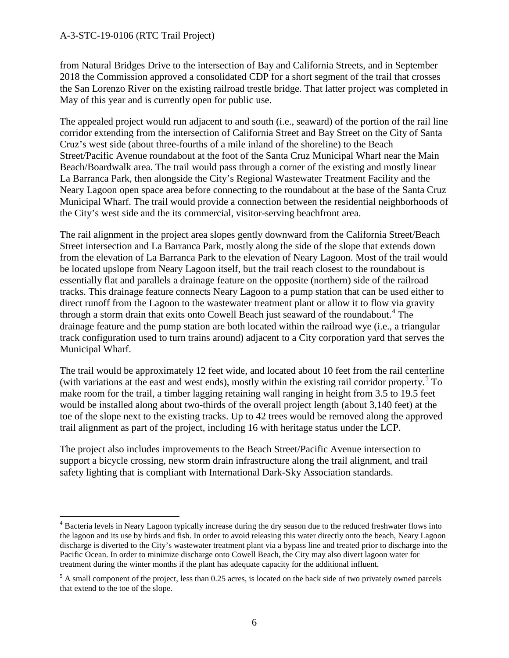$\overline{a}$ 

from Natural Bridges Drive to the intersection of Bay and California Streets, and in September 2018 the Commission approved a consolidated CDP for a short segment of the trail that crosses the San Lorenzo River on the existing railroad trestle bridge. That latter project was completed in May of this year and is currently open for public use.

The appealed project would run adjacent to and south (i.e., seaward) of the portion of the rail line corridor extending from the intersection of California Street and Bay Street on the City of Santa Cruz's west side (about three-fourths of a mile inland of the shoreline) to the Beach Street/Pacific Avenue roundabout at the foot of the Santa Cruz Municipal Wharf near the Main Beach/Boardwalk area. The trail would pass through a corner of the existing and mostly linear La Barranca Park, then alongside the City's Regional Wastewater Treatment Facility and the Neary Lagoon open space area before connecting to the roundabout at the base of the Santa Cruz Municipal Wharf. The trail would provide a connection between the residential neighborhoods of the City's west side and the its commercial, visitor-serving beachfront area.

The rail alignment in the project area slopes gently downward from the California Street/Beach Street intersection and La Barranca Park, mostly along the side of the slope that extends down from the elevation of La Barranca Park to the elevation of Neary Lagoon. Most of the trail would be located upslope from Neary Lagoon itself, but the trail reach closest to the roundabout is essentially flat and parallels a drainage feature on the opposite (northern) side of the railroad tracks. This drainage feature connects Neary Lagoon to a pump station that can be used either to direct runoff from the Lagoon to the wastewater treatment plant or allow it to flow via gravity through a storm drain that exits onto Cowell Beach just seaward of the roundabout.<sup>[4](#page-5-0)</sup> The drainage feature and the pump station are both located within the railroad wye (i.e., a triangular track configuration used to turn trains around) adjacent to a City corporation yard that serves the Municipal Wharf.

The trail would be approximately 12 feet wide, and located about 10 feet from the rail centerline (with variations at the east and west ends), mostly within the existing rail corridor property.[5](#page-5-1) To make room for the trail, a timber lagging retaining wall ranging in height from 3.5 to 19.5 feet would be installed along about two-thirds of the overall project length (about 3,140 feet) at the toe of the slope next to the existing tracks. Up to 42 trees would be removed along the approved trail alignment as part of the project, including 16 with heritage status under the LCP.

The project also includes improvements to the Beach Street/Pacific Avenue intersection to support a bicycle crossing, new storm drain infrastructure along the trail alignment, and trail safety lighting that is compliant with International Dark-Sky Association standards.

<span id="page-5-0"></span><sup>&</sup>lt;sup>4</sup> Bacteria levels in Neary Lagoon typically increase during the dry season due to the reduced freshwater flows into the lagoon and its use by birds and fish. In order to avoid releasing this water directly onto the beach, Neary Lagoon discharge is diverted to the City's wastewater treatment plant via a bypass line and treated prior to discharge into the Pacific Ocean. In order to minimize discharge onto Cowell Beach, the City may also divert lagoon water for treatment during the winter months if the plant has adequate capacity for the additional influent.

<span id="page-5-1"></span> $<sup>5</sup>$  A small component of the project, less than 0.25 acres, is located on the back side of two privately owned parcels</sup> that extend to the toe of the slope.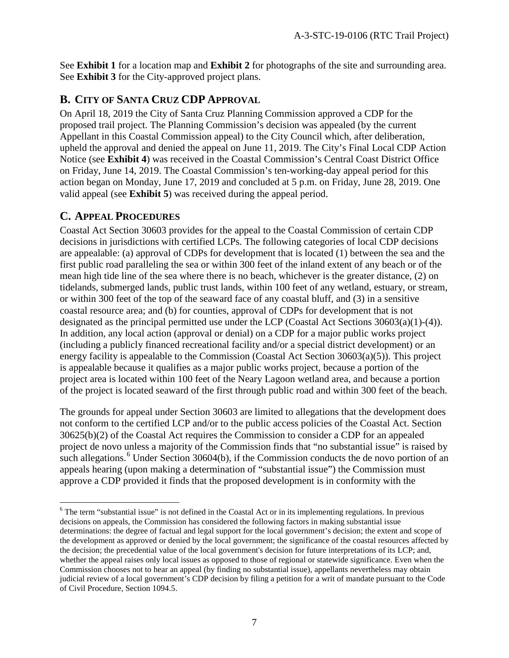See **Exhibit 1** for a location map and **Exhibit 2** for photographs of the site and surrounding area. See **Exhibit 3** for the City-approved project plans.

## **B. CITY OF SANTA CRUZ CDP APPROVAL**

On April 18, 2019 the City of Santa Cruz Planning Commission approved a CDP for the proposed trail project. The Planning Commission's decision was appealed (by the current Appellant in this Coastal Commission appeal) to the City Council which, after deliberation, upheld the approval and denied the appeal on June 11, 2019. The City's Final Local CDP Action Notice (see **Exhibit 4**) was received in the Coastal Commission's Central Coast District Office on Friday, June 14, 2019. The Coastal Commission's ten-working-day appeal period for this action began on Monday, June 17, 2019 and concluded at 5 p.m. on Friday, June 28, 2019. One valid appeal (see **Exhibit 5**) was received during the appeal period.

## **C. APPEAL PROCEDURES**

Coastal Act Section 30603 provides for the appeal to the Coastal Commission of certain CDP decisions in jurisdictions with certified LCPs. The following categories of local CDP decisions are appealable: (a) approval of CDPs for development that is located (1) between the sea and the first public road paralleling the sea or within 300 feet of the inland extent of any beach or of the mean high tide line of the sea where there is no beach, whichever is the greater distance, (2) on tidelands, submerged lands, public trust lands, within 100 feet of any wetland, estuary, or stream, or within 300 feet of the top of the seaward face of any coastal bluff, and (3) in a sensitive coastal resource area; and (b) for counties, approval of CDPs for development that is not designated as the principal permitted use under the LCP (Coastal Act Sections 30603(a)(1)-(4)). In addition, any local action (approval or denial) on a CDP for a major public works project (including a publicly financed recreational facility and/or a special district development) or an energy facility is appealable to the Commission (Coastal Act Section 30603(a)(5)). This project is appealable because it qualifies as a major public works project, because a portion of the project area is located within 100 feet of the Neary Lagoon wetland area, and because a portion of the project is located seaward of the first through public road and within 300 feet of the beach.

The grounds for appeal under Section 30603 are limited to allegations that the development does not conform to the certified LCP and/or to the public access policies of the Coastal Act. Section 30625(b)(2) of the Coastal Act requires the Commission to consider a CDP for an appealed project de novo unless a majority of the Commission finds that "no substantial issue" is raised by such allegations.<sup>[6](#page-6-0)</sup> Under Section 30604(b), if the Commission conducts the de novo portion of an appeals hearing (upon making a determination of "substantial issue") the Commission must approve a CDP provided it finds that the proposed development is in conformity with the

<span id="page-6-0"></span> $\overline{a}$  $6$  The term "substantial issue" is not defined in the Coastal Act or in its implementing regulations. In previous decisions on appeals, the Commission has considered the following factors in making substantial issue determinations: the degree of factual and legal support for the local government's decision; the extent and scope of the development as approved or denied by the local government; the significance of the coastal resources affected by the decision; the precedential value of the local government's decision for future interpretations of its LCP; and, whether the appeal raises only local issues as opposed to those of regional or statewide significance. Even when the Commission chooses not to hear an appeal (by finding no substantial issue), appellants nevertheless may obtain judicial review of a local government's CDP decision by filing a petition for a writ of mandate pursuant to the Code of Civil Procedure, Section 1094.5.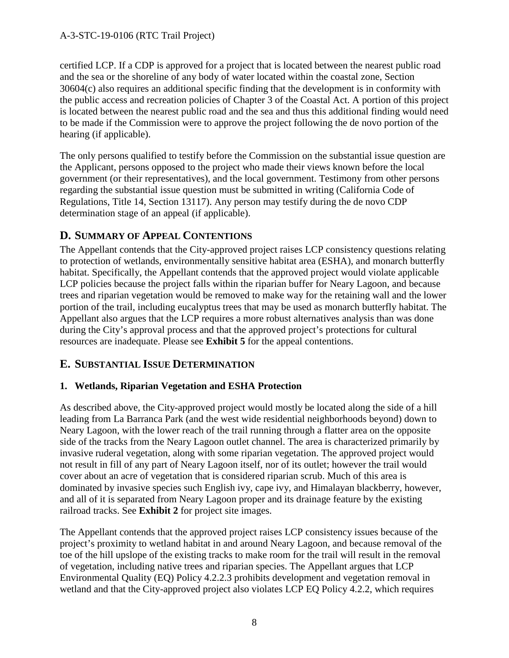certified LCP. If a CDP is approved for a project that is located between the nearest public road and the sea or the shoreline of any body of water located within the coastal zone, Section 30604(c) also requires an additional specific finding that the development is in conformity with the public access and recreation policies of Chapter 3 of the Coastal Act. A portion of this project is located between the nearest public road and the sea and thus this additional finding would need to be made if the Commission were to approve the project following the de novo portion of the hearing (if applicable).

The only persons qualified to testify before the Commission on the substantial issue question are the Applicant, persons opposed to the project who made their views known before the local government (or their representatives), and the local government. Testimony from other persons regarding the substantial issue question must be submitted in writing (California Code of Regulations, Title 14, Section 13117). Any person may testify during the de novo CDP determination stage of an appeal (if applicable).

#### **D. SUMMARY OF APPEAL CONTENTIONS**

The Appellant contends that the City-approved project raises LCP consistency questions relating to protection of wetlands, environmentally sensitive habitat area (ESHA), and monarch butterfly habitat. Specifically, the Appellant contends that the approved project would violate applicable LCP policies because the project falls within the riparian buffer for Neary Lagoon, and because trees and riparian vegetation would be removed to make way for the retaining wall and the lower portion of the trail, including eucalyptus trees that may be used as monarch butterfly habitat. The Appellant also argues that the LCP requires a more robust alternatives analysis than was done during the City's approval process and that the approved project's protections for cultural resources are inadequate. Please see **Exhibit 5** for the appeal contentions.

#### **E. SUBSTANTIAL ISSUE DETERMINATION**

#### **1. Wetlands, Riparian Vegetation and ESHA Protection**

As described above, the City-approved project would mostly be located along the side of a hill leading from La Barranca Park (and the west wide residential neighborhoods beyond) down to Neary Lagoon, with the lower reach of the trail running through a flatter area on the opposite side of the tracks from the Neary Lagoon outlet channel. The area is characterized primarily by invasive ruderal vegetation, along with some riparian vegetation. The approved project would not result in fill of any part of Neary Lagoon itself, nor of its outlet; however the trail would cover about an acre of vegetation that is considered riparian scrub. Much of this area is dominated by invasive species such English ivy, cape ivy, and Himalayan blackberry, however, and all of it is separated from Neary Lagoon proper and its drainage feature by the existing railroad tracks. See **Exhibit 2** for project site images.

The Appellant contends that the approved project raises LCP consistency issues because of the project's proximity to wetland habitat in and around Neary Lagoon, and because removal of the toe of the hill upslope of the existing tracks to make room for the trail will result in the removal of vegetation, including native trees and riparian species. The Appellant argues that LCP Environmental Quality (EQ) Policy 4.2.2.3 prohibits development and vegetation removal in wetland and that the City-approved project also violates LCP EQ Policy 4.2.2, which requires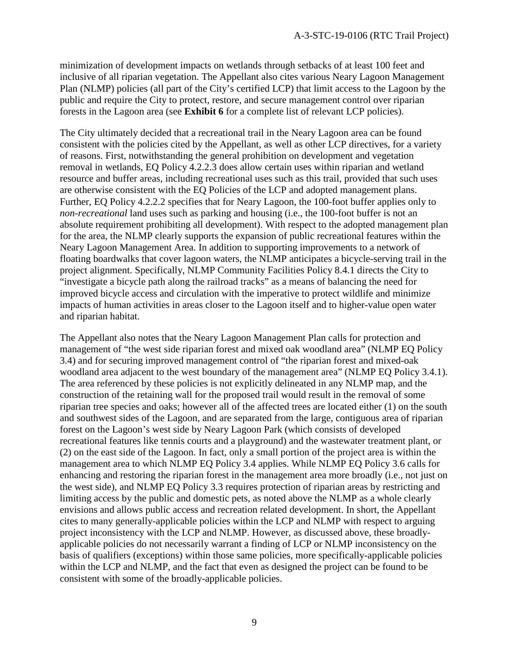minimization of development impacts on wetlands through setbacks of at least 100 feet and inclusive of all riparian vegetation. The Appellant also cites various Neary Lagoon Management Plan (NLMP) policies (all part of the City's certified LCP) that limit access to the Lagoon by the public and require the City to protect, restore, and secure management control over riparian forests in the Lagoon area (see **Exhibit 6** for a complete list of relevant LCP policies).

The City ultimately decided that a recreational trail in the Neary Lagoon area can be found consistent with the policies cited by the Appellant, as well as other LCP directives, for a variety of reasons. First, notwithstanding the general prohibition on development and vegetation removal in wetlands, EQ Policy 4.2.2.3 does allow certain uses within riparian and wetland resource and buffer areas, including recreational uses such as this trail, provided that such uses are otherwise consistent with the EQ Policies of the LCP and adopted management plans. Further, EQ Policy 4.2.2.2 specifies that for Neary Lagoon, the 100-foot buffer applies only to *non-recreational* land uses such as parking and housing (i.e., the 100-foot buffer is not an absolute requirement prohibiting all development). With respect to the adopted management plan for the area, the NLMP clearly supports the expansion of public recreational features within the Neary Lagoon Management Area. In addition to supporting improvements to a network of floating boardwalks that cover lagoon waters, the NLMP anticipates a bicycle-serving trail in the project alignment. Specifically, NLMP Community Facilities Policy 8.4.1 directs the City to "investigate a bicycle path along the railroad tracks" as a means of balancing the need for improved bicycle access and circulation with the imperative to protect wildlife and minimize impacts of human activities in areas closer to the Lagoon itself and to higher-value open water and riparian habitat.

The Appellant also notes that the Neary Lagoon Management Plan calls for protection and management of "the west side riparian forest and mixed oak woodland area" (NLMP EQ Policy 3.4) and for securing improved management control of "the riparian forest and mixed-oak woodland area adjacent to the west boundary of the management area" (NLMP EQ Policy 3.4.1). The area referenced by these policies is not explicitly delineated in any NLMP map, and the construction of the retaining wall for the proposed trail would result in the removal of some riparian tree species and oaks; however all of the affected trees are located either (1) on the south and southwest sides of the Lagoon, and are separated from the large, contiguous area of riparian forest on the Lagoon's west side by Neary Lagoon Park (which consists of developed recreational features like tennis courts and a playground) and the wastewater treatment plant, or (2) on the east side of the Lagoon. In fact, only a small portion of the project area is within the management area to which NLMP EQ Policy 3.4 applies. While NLMP EQ Policy 3.6 calls for enhancing and restoring the riparian forest in the management area more broadly (i.e., not just on the west side), and NLMP EQ Policy 3.3 requires protection of riparian areas by restricting and limiting access by the public and domestic pets, as noted above the NLMP as a whole clearly envisions and allows public access and recreation related development. In short, the Appellant cites to many generally-applicable policies within the LCP and NLMP with respect to arguing project inconsistency with the LCP and NLMP. However, as discussed above, these broadlyapplicable policies do not necessarily warrant a finding of LCP or NLMP inconsistency on the basis of qualifiers (exceptions) within those same policies, more specifically-applicable policies within the LCP and NLMP, and the fact that even as designed the project can be found to be consistent with some of the broadly-applicable policies.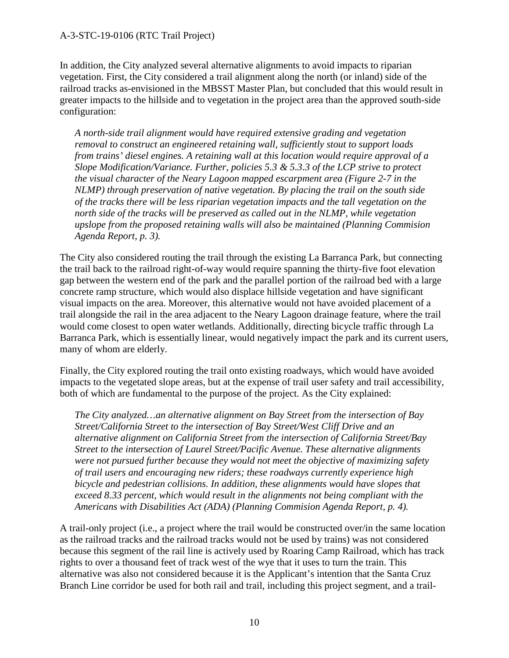In addition, the City analyzed several alternative alignments to avoid impacts to riparian vegetation. First, the City considered a trail alignment along the north (or inland) side of the railroad tracks as-envisioned in the MBSST Master Plan, but concluded that this would result in greater impacts to the hillside and to vegetation in the project area than the approved south-side configuration:

*A north-side trail alignment would have required extensive grading and vegetation removal to construct an engineered retaining wall, sufficiently stout to support loads from trains' diesel engines. A retaining wall at this location would require approval of a Slope Modification/Variance. Further, policies 5.3 & 5.3.3 of the LCP strive to protect the visual character of the Neary Lagoon mapped escarpment area (Figure 2-7 in the NLMP) through preservation of native vegetation. By placing the trail on the south side of the tracks there will be less riparian vegetation impacts and the tall vegetation on the*  north side of the tracks will be preserved as called out in the NLMP, while vegetation *upslope from the proposed retaining walls will also be maintained (Planning Commision Agenda Report, p. 3).*

The City also considered routing the trail through the existing La Barranca Park, but connecting the trail back to the railroad right-of-way would require spanning the thirty-five foot elevation gap between the western end of the park and the parallel portion of the railroad bed with a large concrete ramp structure, which would also displace hillside vegetation and have significant visual impacts on the area. Moreover, this alternative would not have avoided placement of a trail alongside the rail in the area adjacent to the Neary Lagoon drainage feature, where the trail would come closest to open water wetlands. Additionally, directing bicycle traffic through La Barranca Park, which is essentially linear, would negatively impact the park and its current users, many of whom are elderly.

Finally, the City explored routing the trail onto existing roadways, which would have avoided impacts to the vegetated slope areas, but at the expense of trail user safety and trail accessibility, both of which are fundamental to the purpose of the project. As the City explained:

*The City analyzed…an alternative alignment on Bay Street from the intersection of Bay Street/California Street to the intersection of Bay Street/West Cliff Drive and an alternative alignment on California Street from the intersection of California Street/Bay Street to the intersection of Laurel Street/Pacific Avenue. These alternative alignments were not pursued further because they would not meet the objective of maximizing safety of trail users and encouraging new riders; these roadways currently experience high bicycle and pedestrian collisions. In addition, these alignments would have slopes that exceed 8.33 percent, which would result in the alignments not being compliant with the Americans with Disabilities Act (ADA) (Planning Commision Agenda Report, p. 4).*

A trail-only project (i.e., a project where the trail would be constructed over/in the same location as the railroad tracks and the railroad tracks would not be used by trains) was not considered because this segment of the rail line is actively used by Roaring Camp Railroad, which has track rights to over a thousand feet of track west of the wye that it uses to turn the train. This alternative was also not considered because it is the Applicant's intention that the Santa Cruz Branch Line corridor be used for both rail and trail, including this project segment, and a trail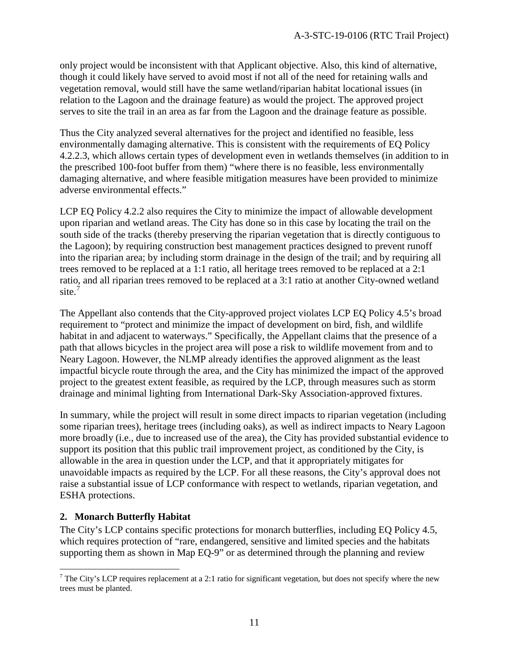only project would be inconsistent with that Applicant objective. Also, this kind of alternative, though it could likely have served to avoid most if not all of the need for retaining walls and vegetation removal, would still have the same wetland/riparian habitat locational issues (in relation to the Lagoon and the drainage feature) as would the project. The approved project serves to site the trail in an area as far from the Lagoon and the drainage feature as possible.

Thus the City analyzed several alternatives for the project and identified no feasible, less environmentally damaging alternative. This is consistent with the requirements of EQ Policy 4.2.2.3, which allows certain types of development even in wetlands themselves (in addition to in the prescribed 100-foot buffer from them) "where there is no feasible, less environmentally damaging alternative, and where feasible mitigation measures have been provided to minimize adverse environmental effects."

LCP EQ Policy 4.2.2 also requires the City to minimize the impact of allowable development upon riparian and wetland areas. The City has done so in this case by locating the trail on the south side of the tracks (thereby preserving the riparian vegetation that is directly contiguous to the Lagoon); by requiring construction best management practices designed to prevent runoff into the riparian area; by including storm drainage in the design of the trail; and by requiring all trees removed to be replaced at a 1:1 ratio, all heritage trees removed to be replaced at a 2:1 ratio, and all riparian trees removed to be replaced at a 3:1 ratio at another City-owned wetland site.<sup>[7](#page-10-0)</sup>

The Appellant also contends that the City-approved project violates LCP EQ Policy 4.5's broad requirement to "protect and minimize the impact of development on bird, fish, and wildlife habitat in and adjacent to waterways." Specifically, the Appellant claims that the presence of a path that allows bicycles in the project area will pose a risk to wildlife movement from and to Neary Lagoon. However, the NLMP already identifies the approved alignment as the least impactful bicycle route through the area, and the City has minimized the impact of the approved project to the greatest extent feasible, as required by the LCP, through measures such as storm drainage and minimal lighting from International Dark-Sky Association-approved fixtures.

In summary, while the project will result in some direct impacts to riparian vegetation (including some riparian trees), heritage trees (including oaks), as well as indirect impacts to Neary Lagoon more broadly (i.e., due to increased use of the area), the City has provided substantial evidence to support its position that this public trail improvement project, as conditioned by the City, is allowable in the area in question under the LCP, and that it appropriately mitigates for unavoidable impacts as required by the LCP. For all these reasons, the City's approval does not raise a substantial issue of LCP conformance with respect to wetlands, riparian vegetation, and ESHA protections.

#### **2. Monarch Butterfly Habitat**

 $\overline{a}$ 

The City's LCP contains specific protections for monarch butterflies, including EQ Policy 4.5, which requires protection of "rare, endangered, sensitive and limited species and the habitats supporting them as shown in Map EQ-9" or as determined through the planning and review

<span id="page-10-0"></span><sup>&</sup>lt;sup>7</sup> The City's LCP requires replacement at a 2:1 ratio for significant vegetation, but does not specify where the new trees must be planted.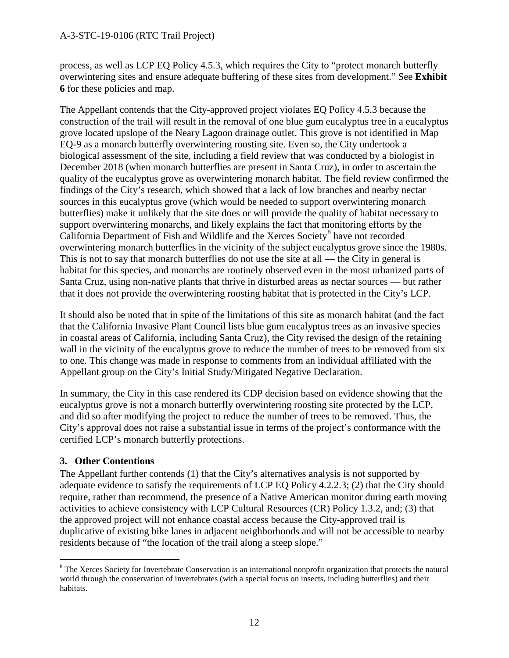process, as well as LCP EQ Policy 4.5.3, which requires the City to "protect monarch butterfly overwintering sites and ensure adequate buffering of these sites from development." See **Exhibit 6** for these policies and map.

The Appellant contends that the City-approved project violates EQ Policy 4.5.3 because the construction of the trail will result in the removal of one blue gum eucalyptus tree in a eucalyptus grove located upslope of the Neary Lagoon drainage outlet. This grove is not identified in Map EQ-9 as a monarch butterfly overwintering roosting site. Even so, the City undertook a biological assessment of the site, including a field review that was conducted by a biologist in December 2018 (when monarch butterflies are present in Santa Cruz), in order to ascertain the quality of the eucalyptus grove as overwintering monarch habitat. The field review confirmed the findings of the City's research, which showed that a lack of low branches and nearby nectar sources in this eucalyptus grove (which would be needed to support overwintering monarch butterflies) make it unlikely that the site does or will provide the quality of habitat necessary to support overwintering monarchs, and likely explains the fact that monitoring efforts by the California Department of Fish and Wildlife and the Xerces Society<sup>[8](#page-11-0)</sup> have not recorded overwintering monarch butterflies in the vicinity of the subject eucalyptus grove since the 1980s. This is not to say that monarch butterflies do not use the site at all — the City in general is habitat for this species, and monarchs are routinely observed even in the most urbanized parts of Santa Cruz, using non-native plants that thrive in disturbed areas as nectar sources — but rather that it does not provide the overwintering roosting habitat that is protected in the City's LCP.

It should also be noted that in spite of the limitations of this site as monarch habitat (and the fact that the California Invasive Plant Council lists blue gum eucalyptus trees as an invasive species in coastal areas of California, including Santa Cruz), the City revised the design of the retaining wall in the vicinity of the eucalyptus grove to reduce the number of trees to be removed from six to one. This change was made in response to comments from an individual affiliated with the Appellant group on the City's Initial Study/Mitigated Negative Declaration.

In summary, the City in this case rendered its CDP decision based on evidence showing that the eucalyptus grove is not a monarch butterfly overwintering roosting site protected by the LCP, and did so after modifying the project to reduce the number of trees to be removed. Thus, the City's approval does not raise a substantial issue in terms of the project's conformance with the certified LCP's monarch butterfly protections.

#### **3. Other Contentions**

The Appellant further contends (1) that the City's alternatives analysis is not supported by adequate evidence to satisfy the requirements of LCP EQ Policy 4.2.2.3; (2) that the City should require, rather than recommend, the presence of a Native American monitor during earth moving activities to achieve consistency with LCP Cultural Resources (CR) Policy 1.3.2, and; (3) that the approved project will not enhance coastal access because the City-approved trail is duplicative of existing bike lanes in adjacent neighborhoods and will not be accessible to nearby residents because of "the location of the trail along a steep slope."

<span id="page-11-0"></span> $\overline{a}$ <sup>8</sup> The Xerces Society for Invertebrate Conservation is an international nonprofit organization that protects the natural world through the conservation of invertebrates (with a special focus on insects, including butterflies) and their habitats.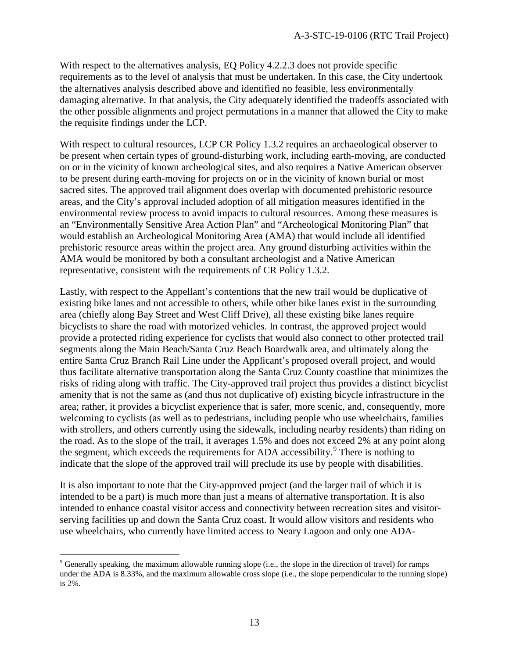With respect to the alternatives analysis, EQ Policy 4.2.2.3 does not provide specific requirements as to the level of analysis that must be undertaken. In this case, the City undertook the alternatives analysis described above and identified no feasible, less environmentally damaging alternative. In that analysis, the City adequately identified the tradeoffs associated with the other possible alignments and project permutations in a manner that allowed the City to make the requisite findings under the LCP.

With respect to cultural resources, LCP CR Policy 1.3.2 requires an archaeological observer to be present when certain types of ground-disturbing work, including earth-moving, are conducted on or in the vicinity of known archeological sites, and also requires a Native American observer to be present during earth-moving for projects on or in the vicinity of known burial or most sacred sites. The approved trail alignment does overlap with documented prehistoric resource areas, and the City's approval included adoption of all mitigation measures identified in the environmental review process to avoid impacts to cultural resources. Among these measures is an "Environmentally Sensitive Area Action Plan" and "Archeological Monitoring Plan" that would establish an Archeological Monitoring Area (AMA) that would include all identified prehistoric resource areas within the project area. Any ground disturbing activities within the AMA would be monitored by both a consultant archeologist and a Native American representative, consistent with the requirements of CR Policy 1.3.2.

Lastly, with respect to the Appellant's contentions that the new trail would be duplicative of existing bike lanes and not accessible to others, while other bike lanes exist in the surrounding area (chiefly along Bay Street and West Cliff Drive), all these existing bike lanes require bicyclists to share the road with motorized vehicles. In contrast, the approved project would provide a protected riding experience for cyclists that would also connect to other protected trail segments along the Main Beach/Santa Cruz Beach Boardwalk area, and ultimately along the entire Santa Cruz Branch Rail Line under the Applicant's proposed overall project, and would thus facilitate alternative transportation along the Santa Cruz County coastline that minimizes the risks of riding along with traffic. The City-approved trail project thus provides a distinct bicyclist amenity that is not the same as (and thus not duplicative of) existing bicycle infrastructure in the area; rather, it provides a bicyclist experience that is safer, more scenic, and, consequently, more welcoming to cyclists (as well as to pedestrians, including people who use wheelchairs, families with strollers, and others currently using the sidewalk, including nearby residents) than riding on the road. As to the slope of the trail, it averages 1.5% and does not exceed 2% at any point along the segment, which exceeds the requirements for ADA accessibility.<sup>[9](#page-12-0)</sup> There is nothing to indicate that the slope of the approved trail will preclude its use by people with disabilities.

It is also important to note that the City-approved project (and the larger trail of which it is intended to be a part) is much more than just a means of alternative transportation. It is also intended to enhance coastal visitor access and connectivity between recreation sites and visitorserving facilities up and down the Santa Cruz coast. It would allow visitors and residents who use wheelchairs, who currently have limited access to Neary Lagoon and only one ADA-

<span id="page-12-0"></span> $\overline{a}$ <sup>9</sup> Generally speaking, the maximum allowable running slope (i.e., the slope in the direction of travel) for ramps under the ADA is 8.33%, and the maximum allowable cross slope (i.e., the slope perpendicular to the running slope) is 2%.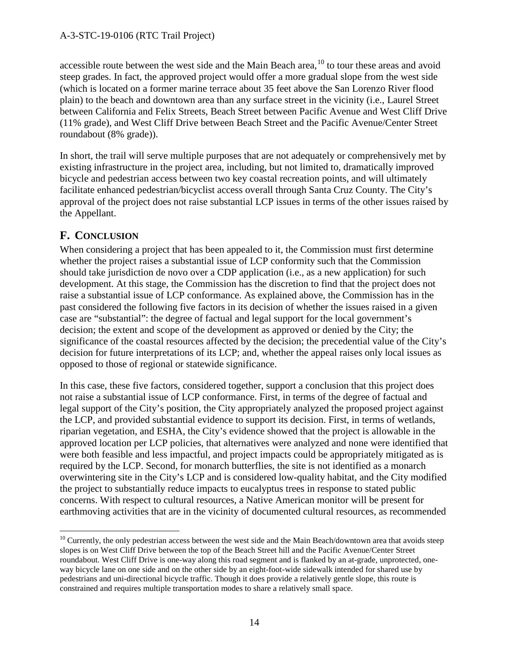accessible route between the west side and the Main Beach area,  $^{10}$  $^{10}$  $^{10}$  to tour these areas and avoid steep grades. In fact, the approved project would offer a more gradual slope from the west side (which is located on a former marine terrace about 35 feet above the San Lorenzo River flood plain) to the beach and downtown area than any surface street in the vicinity (i.e., Laurel Street between California and Felix Streets, Beach Street between Pacific Avenue and West Cliff Drive (11% grade), and West Cliff Drive between Beach Street and the Pacific Avenue/Center Street roundabout (8% grade)).

In short, the trail will serve multiple purposes that are not adequately or comprehensively met by existing infrastructure in the project area, including, but not limited to, dramatically improved bicycle and pedestrian access between two key coastal recreation points, and will ultimately facilitate enhanced pedestrian/bicyclist access overall through Santa Cruz County. The City's approval of the project does not raise substantial LCP issues in terms of the other issues raised by the Appellant.

#### **F. CONCLUSION**

When considering a project that has been appealed to it, the Commission must first determine whether the project raises a substantial issue of LCP conformity such that the Commission should take jurisdiction de novo over a CDP application (i.e., as a new application) for such development. At this stage, the Commission has the discretion to find that the project does not raise a substantial issue of LCP conformance. As explained above, the Commission has in the past considered the following five factors in its decision of whether the issues raised in a given case are "substantial": the degree of factual and legal support for the local government's decision; the extent and scope of the development as approved or denied by the City; the significance of the coastal resources affected by the decision; the precedential value of the City's decision for future interpretations of its LCP; and, whether the appeal raises only local issues as opposed to those of regional or statewide significance.

In this case, these five factors, considered together, support a conclusion that this project does not raise a substantial issue of LCP conformance. First, in terms of the degree of factual and legal support of the City's position, the City appropriately analyzed the proposed project against the LCP, and provided substantial evidence to support its decision. First, in terms of wetlands, riparian vegetation, and ESHA, the City's evidence showed that the project is allowable in the approved location per LCP policies, that alternatives were analyzed and none were identified that were both feasible and less impactful, and project impacts could be appropriately mitigated as is required by the LCP. Second, for monarch butterflies, the site is not identified as a monarch overwintering site in the City's LCP and is considered low-quality habitat, and the City modified the project to substantially reduce impacts to eucalyptus trees in response to stated public concerns. With respect to cultural resources, a Native American monitor will be present for earthmoving activities that are in the vicinity of documented cultural resources, as recommended

<span id="page-13-0"></span> $\overline{a}$  $10$  Currently, the only pedestrian access between the west side and the Main Beach/downtown area that avoids steep slopes is on West Cliff Drive between the top of the Beach Street hill and the Pacific Avenue/Center Street roundabout. West Cliff Drive is one-way along this road segment and is flanked by an at-grade, unprotected, oneway bicycle lane on one side and on the other side by an eight-foot-wide sidewalk intended for shared use by pedestrians and uni-directional bicycle traffic. Though it does provide a relatively gentle slope, this route is constrained and requires multiple transportation modes to share a relatively small space.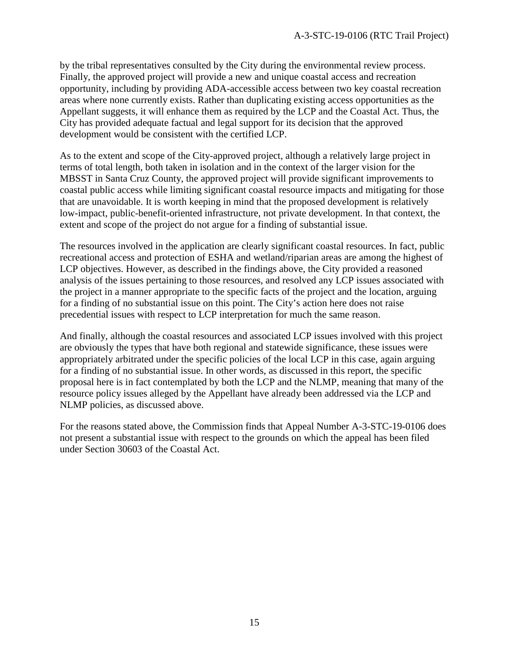by the tribal representatives consulted by the City during the environmental review process. Finally, the approved project will provide a new and unique coastal access and recreation opportunity, including by providing ADA-accessible access between two key coastal recreation areas where none currently exists. Rather than duplicating existing access opportunities as the Appellant suggests, it will enhance them as required by the LCP and the Coastal Act. Thus, the City has provided adequate factual and legal support for its decision that the approved development would be consistent with the certified LCP.

As to the extent and scope of the City-approved project, although a relatively large project in terms of total length, both taken in isolation and in the context of the larger vision for the MBSST in Santa Cruz County, the approved project will provide significant improvements to coastal public access while limiting significant coastal resource impacts and mitigating for those that are unavoidable. It is worth keeping in mind that the proposed development is relatively low-impact, public-benefit-oriented infrastructure, not private development. In that context, the extent and scope of the project do not argue for a finding of substantial issue.

The resources involved in the application are clearly significant coastal resources. In fact, public recreational access and protection of ESHA and wetland/riparian areas are among the highest of LCP objectives. However, as described in the findings above, the City provided a reasoned analysis of the issues pertaining to those resources, and resolved any LCP issues associated with the project in a manner appropriate to the specific facts of the project and the location, arguing for a finding of no substantial issue on this point. The City's action here does not raise precedential issues with respect to LCP interpretation for much the same reason.

And finally, although the coastal resources and associated LCP issues involved with this project are obviously the types that have both regional and statewide significance, these issues were appropriately arbitrated under the specific policies of the local LCP in this case, again arguing for a finding of no substantial issue. In other words, as discussed in this report, the specific proposal here is in fact contemplated by both the LCP and the NLMP, meaning that many of the resource policy issues alleged by the Appellant have already been addressed via the LCP and NLMP policies, as discussed above.

For the reasons stated above, the Commission finds that Appeal Number A-3-STC-19-0106 does not present a substantial issue with respect to the grounds on which the appeal has been filed under Section 30603 of the Coastal Act.